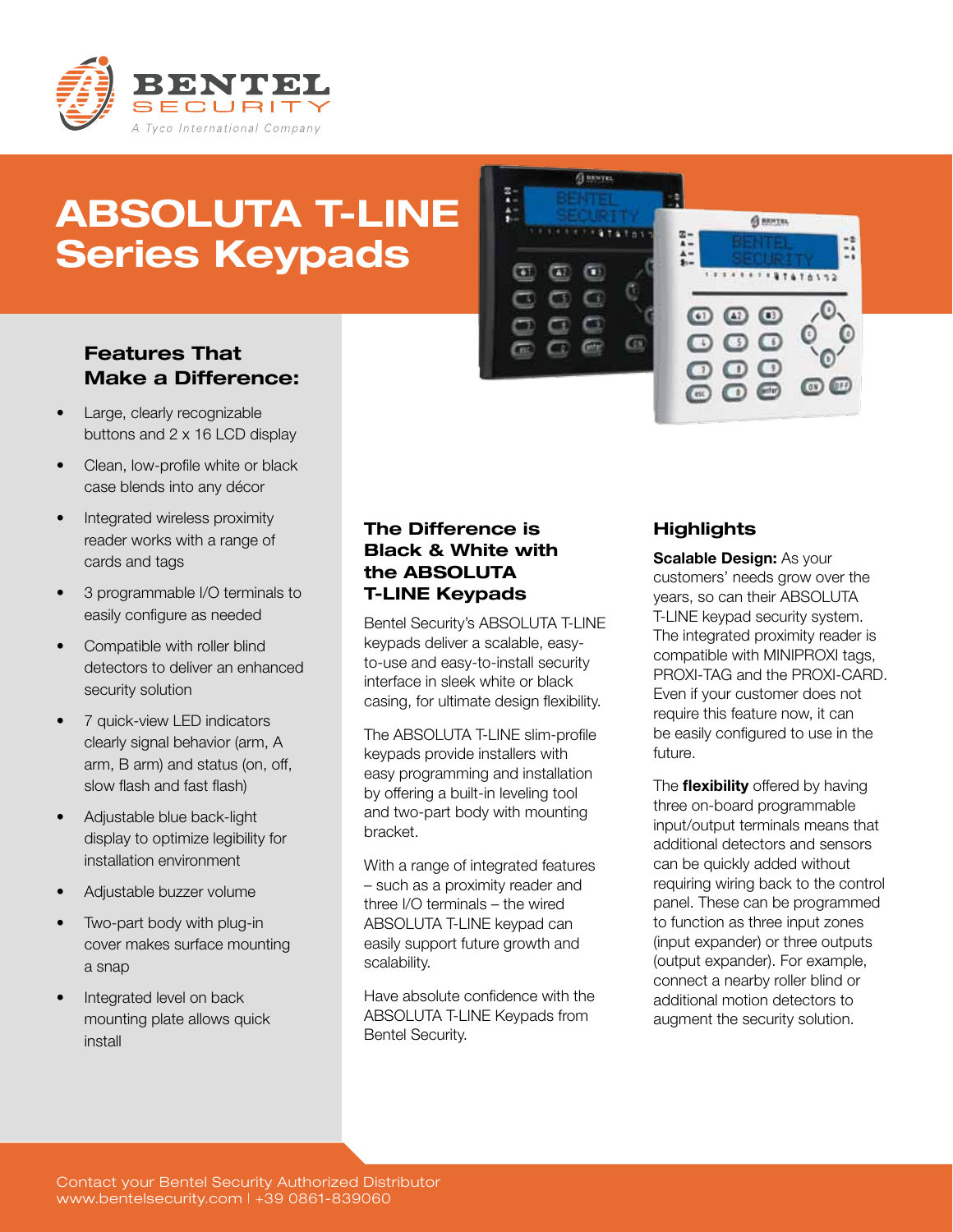

# ABSOLUTA T-LINE Series Keypads



# Features That Make a Difference:

- Large, clearly recognizable buttons and 2 x 16 LCD display
- Clean, low-profile white or black case blends into any décor
- Integrated wireless proximity reader works with a range of cards and tags
- 3 programmable I/O terminals to easily configure as needed
- Compatible with roller blind detectors to deliver an enhanced security solution
- 7 quick-view LED indicators clearly signal behavior (arm, A arm, B arm) and status (on, off, slow flash and fast flash)
- Adjustable blue back-light display to optimize legibility for installation environment
- Adjustable buzzer volume
- Two-part body with plug-in cover makes surface mounting a snap
- Integrated level on back mounting plate allows quick install

## The Difference is Black & White with the ABSOLUTA T-LINE Keypads

Bentel Security's ABSOLUTA T-LINE keypads deliver a scalable, easyto-use and easy-to-install security interface in sleek white or black casing, for ultimate design flexibility.

The ABSOLUTA T-LINE slim-profile keypads provide installers with easy programming and installation by offering a built-in leveling tool and two-part body with mounting bracket.

With a range of integrated features – such as a proximity reader and three I/O terminals – the wired ABSOLUTA T-LINE keypad can easily support future growth and scalability.

Have absolute confidence with the ABSOLUTA T-LINE Keypads from Bentel Security.

## **Highlights**

Scalable Design: As your customers' needs grow over the years, so can their ABSOLUTA T-LINE keypad security system. The integrated proximity reader is compatible with MINIPROXI tags, PROXI-TAG and the PROXI-CARD. Even if your customer does not require this feature now, it can be easily configured to use in the future.

The **flexibility** offered by having three on-board programmable input/output terminals means that additional detectors and sensors can be quickly added without requiring wiring back to the control panel. These can be programmed to function as three input zones (input expander) or three outputs (output expander). For example, connect a nearby roller blind or additional motion detectors to augment the security solution.